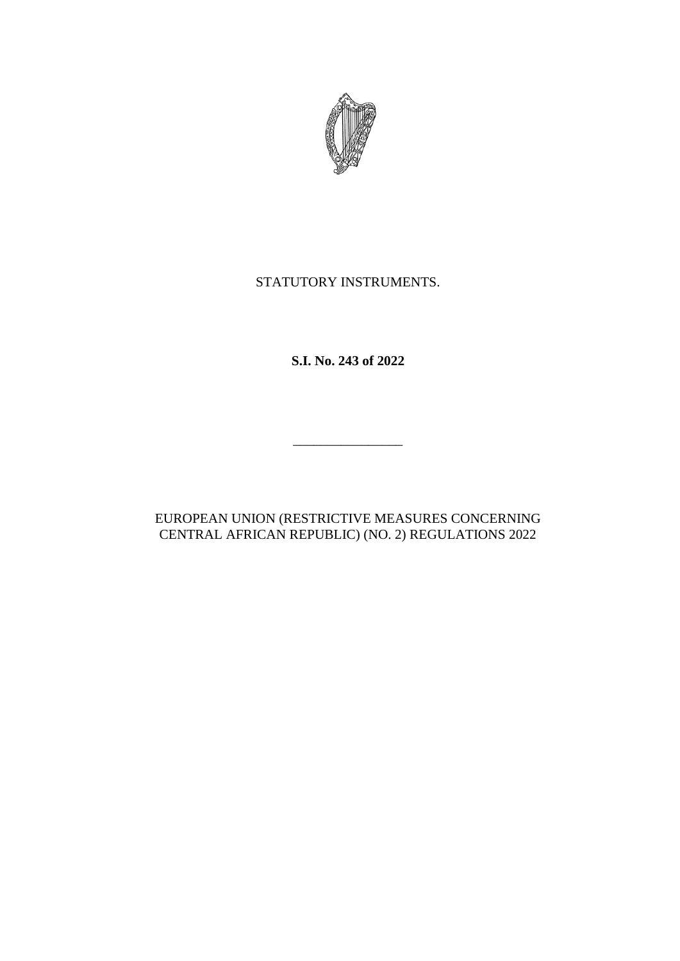

## STATUTORY INSTRUMENTS.

**S.I. No. 243 of 2022**

## EUROPEAN UNION (RESTRICTIVE MEASURES CONCERNING CENTRAL AFRICAN REPUBLIC) (NO. 2) REGULATIONS 2022

\_\_\_\_\_\_\_\_\_\_\_\_\_\_\_\_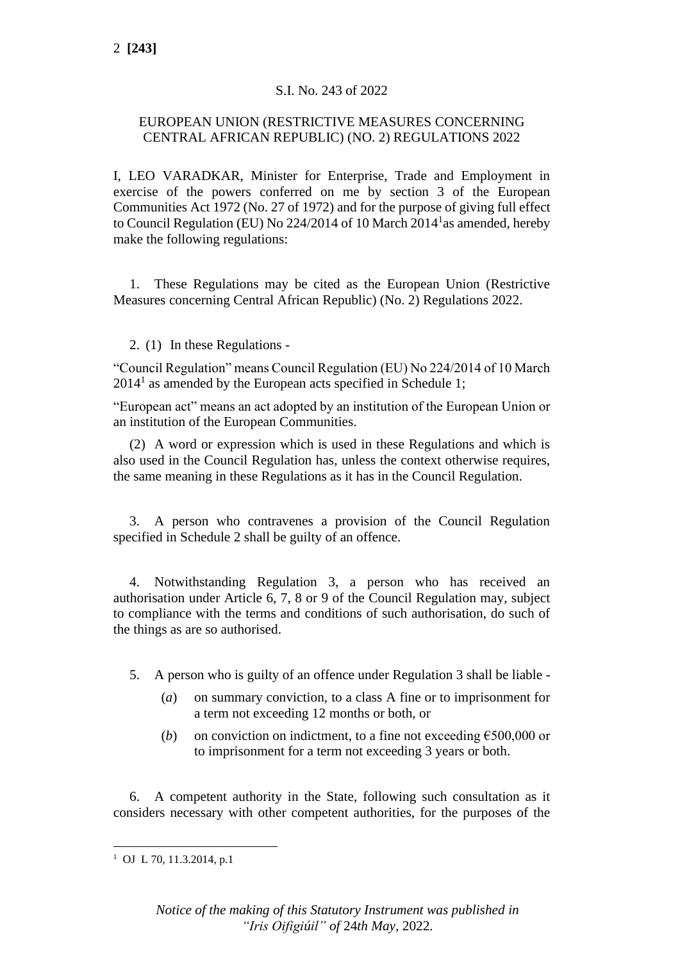### S.I. No. 243 of 2022

#### EUROPEAN UNION (RESTRICTIVE MEASURES CONCERNING CENTRAL AFRICAN REPUBLIC) (NO. 2) REGULATIONS 2022

I, LEO VARADKAR, Minister for Enterprise, Trade and Employment in exercise of the powers conferred on me by section 3 of the European Communities Act 1972 (No. 27 of 1972) and for the purpose of giving full effect to Council Regulation (EU) No 224/2014 of 10 March 2014<sup>1</sup> as amended, hereby make the following regulations:

1. These Regulations may be cited as the European Union (Restrictive Measures concerning Central African Republic) (No. 2) Regulations 2022.

#### 2. (1) In these Regulations -

"Council Regulation" means Council Regulation (EU) No 224/2014 of 10 March  $2014<sup>1</sup>$  as amended by the European acts specified in Schedule 1;

"European act" means an act adopted by an institution of the European Union or an institution of the European Communities.

(2) A word or expression which is used in these Regulations and which is also used in the Council Regulation has, unless the context otherwise requires, the same meaning in these Regulations as it has in the Council Regulation.

3. A person who contravenes a provision of the Council Regulation specified in Schedule 2 shall be guilty of an offence.

4. Notwithstanding Regulation 3, a person who has received an authorisation under Article 6, 7, 8 or 9 of the Council Regulation may, subject to compliance with the terms and conditions of such authorisation, do such of the things as are so authorised.

5. A person who is guilty of an offence under Regulation 3 shall be liable -

- (*a*) on summary conviction, to a class A fine or to imprisonment for a term not exceeding 12 months or both, or
- (*b*) on conviction on indictment, to a fine not exceeding  $\epsilon$ 500,000 or to imprisonment for a term not exceeding 3 years or both.

6. A competent authority in the State, following such consultation as it considers necessary with other competent authorities, for the purposes of the

<sup>&</sup>lt;sup>1</sup> OJ L 70, 11.3.2014, p.1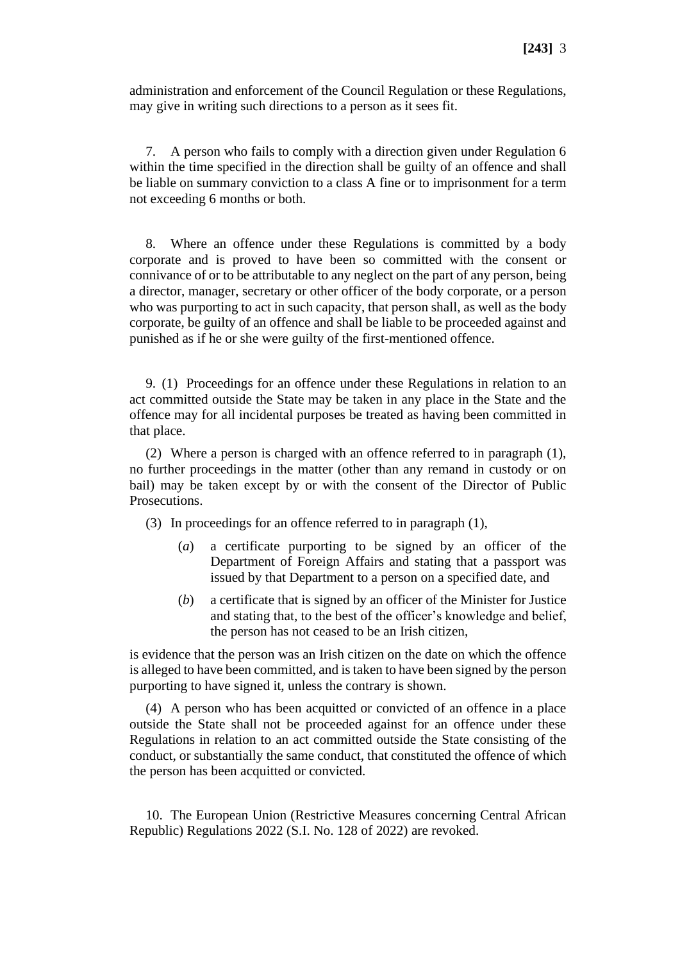administration and enforcement of the Council Regulation or these Regulations, may give in writing such directions to a person as it sees fit.

7. A person who fails to comply with a direction given under Regulation 6 within the time specified in the direction shall be guilty of an offence and shall be liable on summary conviction to a class A fine or to imprisonment for a term not exceeding 6 months or both.

8. Where an offence under these Regulations is committed by a body corporate and is proved to have been so committed with the consent or connivance of or to be attributable to any neglect on the part of any person, being a director, manager, secretary or other officer of the body corporate, or a person who was purporting to act in such capacity, that person shall, as well as the body corporate, be guilty of an offence and shall be liable to be proceeded against and punished as if he or she were guilty of the first-mentioned offence.

9. (1) Proceedings for an offence under these Regulations in relation to an act committed outside the State may be taken in any place in the State and the offence may for all incidental purposes be treated as having been committed in that place.

(2) Where a person is charged with an offence referred to in paragraph (1), no further proceedings in the matter (other than any remand in custody or on bail) may be taken except by or with the consent of the Director of Public Prosecutions.

(3) In proceedings for an offence referred to in paragraph (1),

- (*a*) a certificate purporting to be signed by an officer of the Department of Foreign Affairs and stating that a passport was issued by that Department to a person on a specified date, and
- (*b*) a certificate that is signed by an officer of the Minister for Justice and stating that, to the best of the officer's knowledge and belief, the person has not ceased to be an Irish citizen,

is evidence that the person was an Irish citizen on the date on which the offence is alleged to have been committed, and is taken to have been signed by the person purporting to have signed it, unless the contrary is shown.

(4) A person who has been acquitted or convicted of an offence in a place outside the State shall not be proceeded against for an offence under these Regulations in relation to an act committed outside the State consisting of the conduct, or substantially the same conduct, that constituted the offence of which the person has been acquitted or convicted.

10. The European Union (Restrictive Measures concerning Central African Republic) Regulations 2022 (S.I. No. 128 of 2022) are revoked.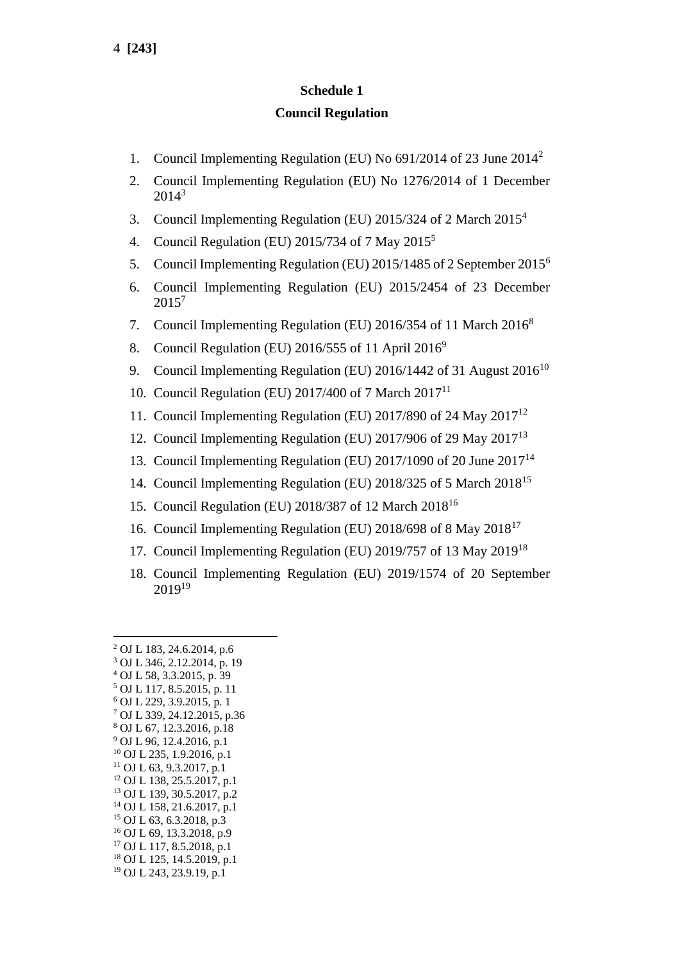#### **Schedule 1**

#### **Council Regulation**

- 1. Council Implementing Regulation (EU) No 691/2014 of 23 June 2014<sup>2</sup>
- 2. Council Implementing Regulation (EU) No 1276/2014 of 1 December 2014<sup>3</sup>
- 3. Council Implementing Regulation (EU) 2015/324 of 2 March 2015<sup>4</sup>
- 4. Council Regulation (EU) 2015/734 of 7 May  $2015<sup>5</sup>$
- 5. Council Implementing Regulation (EU) 2015/1485 of 2 September 2015<sup>6</sup>
- 6. Council Implementing Regulation (EU) 2015/2454 of 23 December 2015<sup>7</sup>
- 7. Council Implementing Regulation (EU) 2016/354 of 11 March 2016<sup>8</sup>
- 8. Council Regulation (EU) 2016/555 of 11 April  $2016^9$
- 9. Council Implementing Regulation (EU)  $2016/1442$  of 31 August  $2016^{10}$
- 10. Council Regulation (EU) 2017/400 of 7 March 2017<sup>11</sup>
- 11. Council Implementing Regulation (EU) 2017/890 of 24 May 2017<sup>12</sup>
- 12. Council Implementing Regulation (EU) 2017/906 of 29 May 2017<sup>13</sup>
- 13. Council Implementing Regulation (EU) 2017/1090 of 20 June 2017<sup>14</sup>
- 14. Council Implementing Regulation (EU) 2018/325 of 5 March 2018<sup>15</sup>
- 15. Council Regulation (EU) 2018/387 of 12 March 2018<sup>16</sup>
- 16. Council Implementing Regulation (EU) 2018/698 of 8 May 2018<sup>17</sup>
- 17. Council Implementing Regulation (EU) 2019/757 of 13 May 2019<sup>18</sup>
- 18. Council Implementing Regulation (EU) 2019/1574 of 20 September  $2019^{19}$

 OJ L 183, 24.6.2014, p.6 OJ L 346, 2.12.2014, p. 19 OJ L 58, 3.3.2015, p. 39 OJ L 117, 8.5.2015, p. 11 OJ L 229, 3.9.2015, p. 1 OJ L 339, 24.12.2015, p.36 OJ L 67, 12.3.2016, p.18 OJ L 96, 12.4.2016, p.1 OJ L 235, 1.9.2016, p.1 OJ L 63, 9.3.2017, p.1 OJ L 138, 25.5.2017, p.1 OJ L 139, 30.5.2017, p.2 OJ L 158, 21.6.2017, p.1 OJ L 63, 6.3.2018, p.3 OJ L 69, 13.3.2018, p.9 OJ L 117, 8.5.2018, p.1 OJ L 125, 14.5.2019, p.1 OJ L 243, 23.9.19, p.1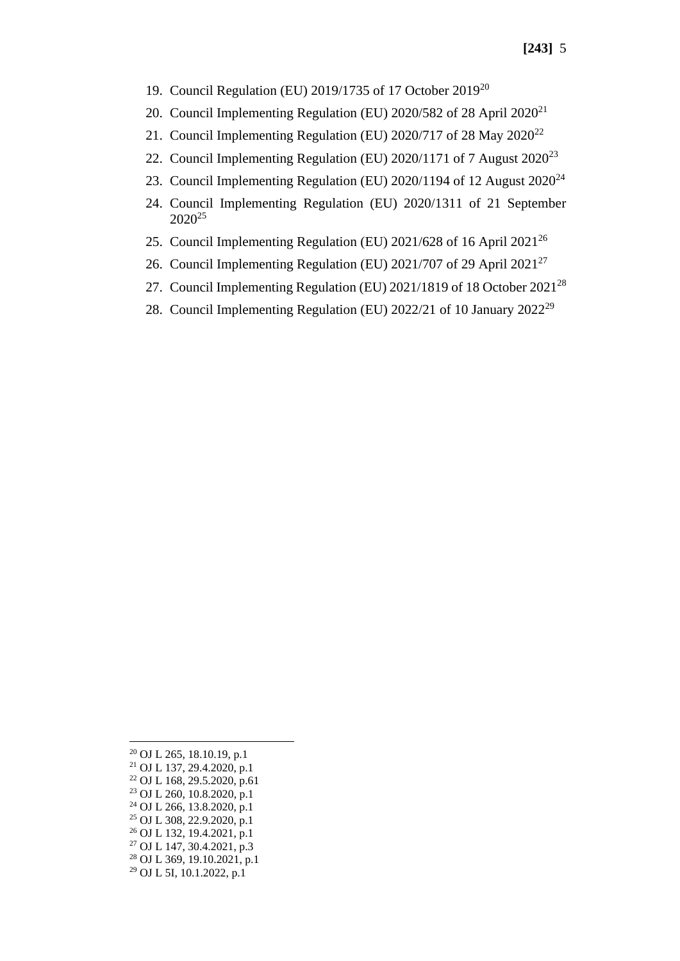- 19. Council Regulation (EU) 2019/1735 of 17 October 2019<sup>20</sup>
- 20. Council Implementing Regulation (EU)  $2020/582$  of 28 April  $2020^{21}$
- 21. Council Implementing Regulation (EU)  $2020/717$  of 28 May  $2020^{22}$
- 22. Council Implementing Regulation (EU) 2020/1171 of 7 August 2020<sup>23</sup>
- 23. Council Implementing Regulation (EU)  $2020/1194$  of 12 August  $2020^{24}$
- 24. Council Implementing Regulation (EU) 2020/1311 of 21 September 2020<sup>25</sup>
- 25. Council Implementing Regulation (EU) 2021/628 of 16 April 2021<sup>26</sup>
- 26. Council Implementing Regulation (EU) 2021/707 of 29 April 2021<sup>27</sup>
- 27. Council Implementing Regulation (EU) 2021/1819 of 18 October 2021<sup>28</sup>
- 28. Council Implementing Regulation (EU) 2022/21 of 10 January 2022<sup>29</sup>

<sup>20</sup> OJ L 265, 18.10.19, p.1 <sup>21</sup> OJ L 137, 29.4.2020, p.1  $22$  OJ L 168, 29.5.2020, p.61 <sup>23</sup> OJ L 260, 10.8.2020, p.1 <sup>24</sup> OJ L 266, 13.8.2020, p.1 <sup>25</sup> OJ L 308, 22.9.2020, p.1 <sup>26</sup> OJ L 132, 19.4.2021, p.1 <sup>27</sup> OJ L 147, 30.4.2021, p.3 <sup>28</sup> OJ L 369, 19.10.2021, p.1 <sup>29</sup> OJ L 5I, 10.1.2022, p.1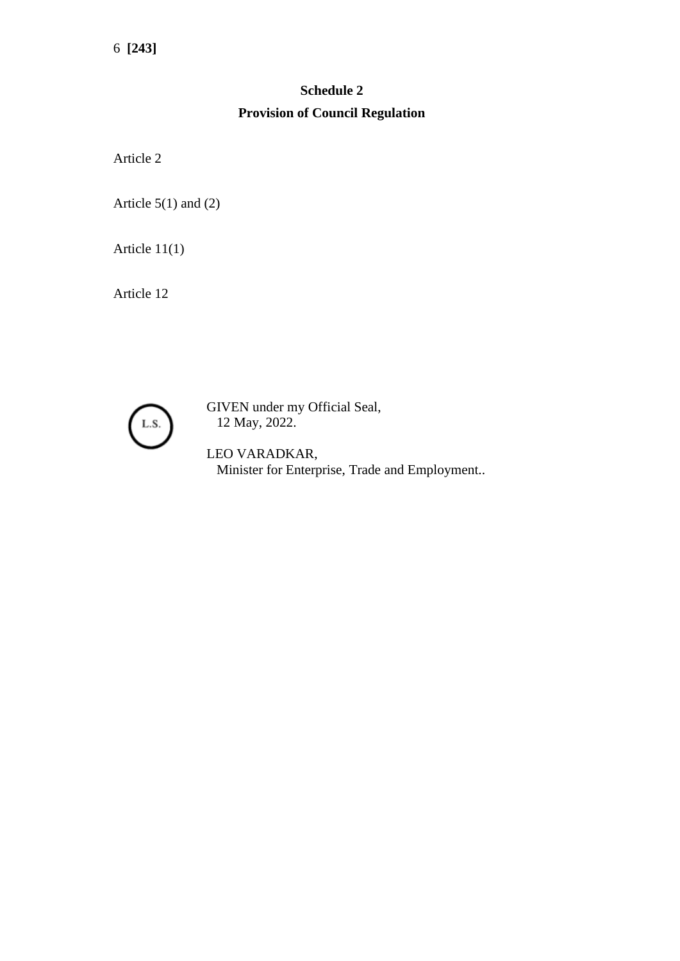# **Schedule 2 Provision of Council Regulation**

Article 2

Article  $5(1)$  and  $(2)$ 

Article 11(1)

Article 12



GIVEN under my Official Seal, 12 May, 2022.

LEO VARADKAR, Minister for Enterprise, Trade and Employment..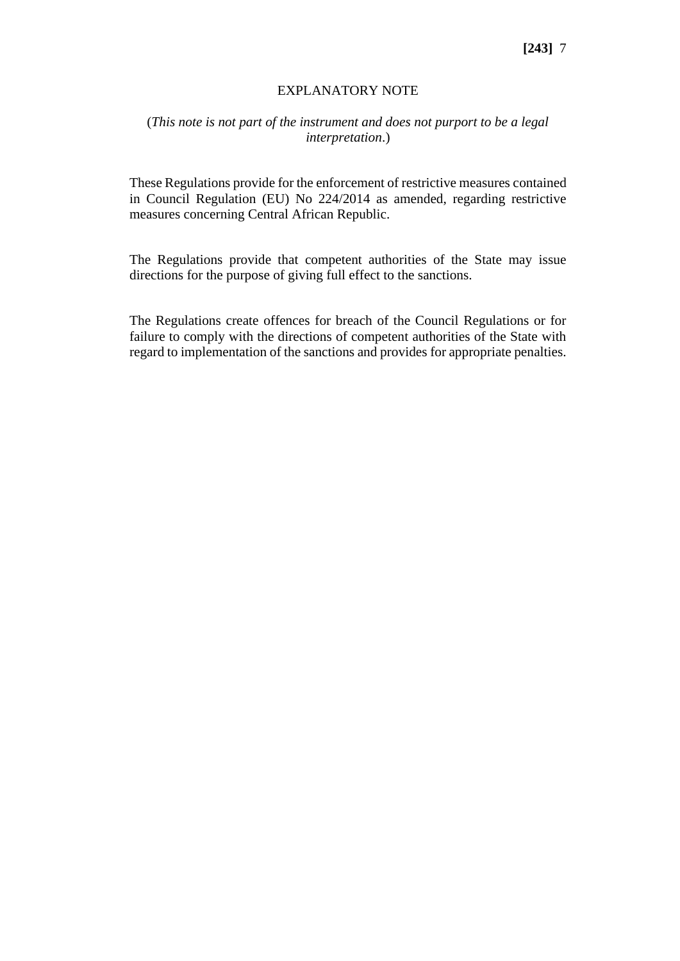#### EXPLANATORY NOTE

#### (*This note is not part of the instrument and does not purport to be a legal interpretation*.)

These Regulations provide for the enforcement of restrictive measures contained in Council Regulation (EU) No 224/2014 as amended, regarding restrictive measures concerning Central African Republic.

The Regulations provide that competent authorities of the State may issue directions for the purpose of giving full effect to the sanctions.

The Regulations create offences for breach of the Council Regulations or for failure to comply with the directions of competent authorities of the State with regard to implementation of the sanctions and provides for appropriate penalties.